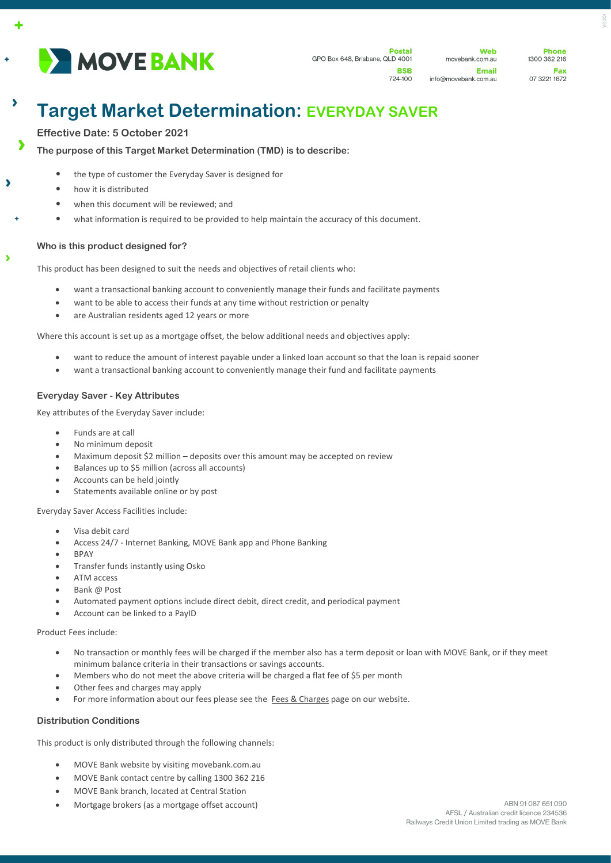

724-100

**Web** movebank.com.au Email info@movebank.com.au

**Dhone** 1300 362 216 Fax 07 3221 1672

# **Target Market Determination: EVERYDAY SAVER**

## **Effective Date: 5 October 2021**

 $\ddot{\bullet}$ 

 $\lambda$ 

 $\overline{\phantom{a}}$ 

 $\overline{\phantom{a}}$ 

**The purpose of this Target Market Determination (TMD) is to describe:**

- the type of customer the Everyday Saver is designed for
- how it is distributed
- when this document will be reviewed; and
- what information is required to be provided to help maintain the accuracy of this document.

## **Who is this product designed for?**

This product has been designed to suit the needs and objectives of retail clients who:

- want a transactional banking account to conveniently manage their funds and facilitate payments
- want to be able to access their funds at any time without restriction or penalty
- are Australian residents aged 12 years or more

Where this account is set up as a mortgage offset, the below additional needs and objectives apply:

- want to reduce the amount of interest payable under a linked loan account so that the loan is repaid sooner
- want a transactional banking account to conveniently manage their fund and facilitate payments

## **Everyday Saver - Key Attributes**

Key attributes of the Everyday Saver include:

- Funds are at call
- No minimum deposit
- Maximum deposit \$2 million deposits over this amount may be accepted on review
- Balances up to \$5 million (across all accounts)
- Accounts can be held jointly
- Statements available online or by post

Everyday Saver Access Facilities include:

- Visa debit card
- Access 24/7 Internet Banking, MOVE Bank app and Phone Banking
- BPAY
- Transfer funds instantly using Osko
- ATM access
- Bank @ Post
- Automated payment options include direct debit, direct credit, and periodical payment
- Account can be linked to a PayID

Product Fees include:

- No transaction or monthly fees will be charged if the member also has a term deposit or loan with MOVE Bank, or if they meet minimum balance criteria in their transactions or savings accounts.
- Members who do not meet the above criteria will be charged a flat fee of \$5 per month
- Other fees and charges may apply
- For more information about our fees please see the [Fees & Charges](https://movebank.com.au/quick-links/fees-charges/) page on our website.

#### **Distribution Conditions**

This product is only distributed through the following channels:

- MOVE Bank website by visiting movebank.com.au
- MOVE Bank contact centre by calling 1300 362 216
- MOVE Bank branch, located at Central Station
- Mortgage brokers (as a mortgage offset account)